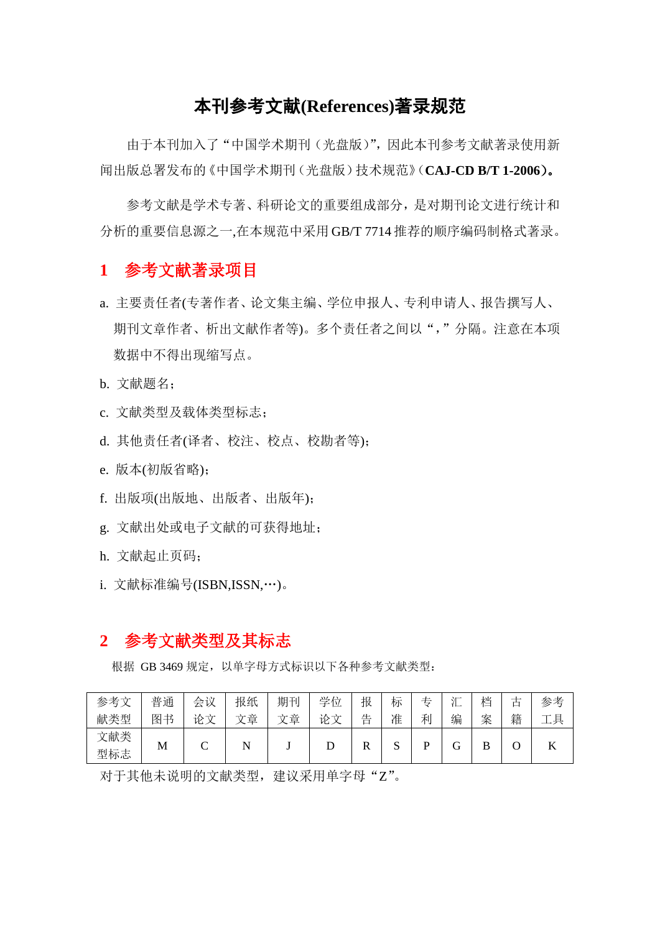# 本刊参考文献**(References)**著录规范

由于本刊加入了"中国学术期刊(光盘版)",因此本刊参考文献著录使用新 闻出版总署发布的《中国学术期刊(光盘版)技术规范》(**CAJ-CD B/T 1-2006**)。

参考文献是学术专著、科研论文的重要组成部分,是对期刊论文进行统计和 分析的重要信息源之一,在本规范中采用 GB/T 7714 推荐的顺序编码制格式著录。

### **1** 参考文献著录项目

- a. 主要责任者(专著作者、论文集主编、学位申报人、专利申请人、报告撰写人、 期刊文章作者、析出文献作者等)。多个责任者之间以","分隔。注意在本项 数据中不得出现缩写点。
- b. 文献题名;
- c. 文献类型及载体类型标志;
- d. 其他责任者(译者、校注、校点、校勘者等);
- e. 版本(初版省略);
- f. 出版项(出版地、出版者、出版年);
- g. 文献出处或电子文献的可获得地址;
- h. 文献起止页码;
- i. 文献标准编号(ISBN,ISSN,…)。

## **2** 参考文献类型及其标志

根据 GB 3469 规定,以单字母方式标识以下各种参考文献类型:

| 参考文 | 普通 | 会议             | 报纸     | 期刊     | 学位 | 报 | 标            | も | $\sim$<br>. | 档  | —<br>甴 | 参考       |
|-----|----|----------------|--------|--------|----|---|--------------|---|-------------|----|--------|----------|
| 献类型 | 图书 | 论<br>$\vec{r}$ | 章<br>÷ | 章<br>⊹ | 论文 | 告 | 准            | 利 | 编           | 案  | 籍      | 具<br>$-$ |
| 文献类 |    | ⌒              |        |        |    | D | $\mathbf{C}$ | D | ⌒           | רז |        |          |
| 型标志 | M  | ◡              | N      |        |    | л | N            |   |             | D  |        |          |

对于其他未说明的文献类型, 建议采用单字母"Z"。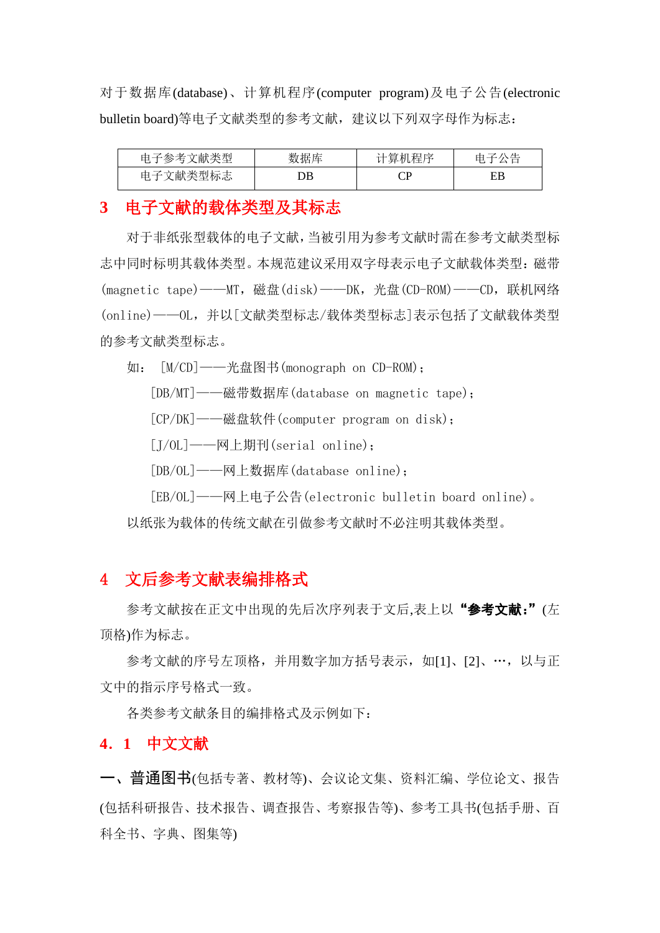对于数据库(database)、计算机程序(computer program)及电子公告(electronic bulletin board)等电子文献类型的参考文献, 建议以下列双字母作为标志:

| 多考文献类型<br>电ゴ<br>'₩ | 数据库 | 计算机程序 |    |
|--------------------|-----|-------|----|
| :献类型标志<br>甲千又      | λB  |       | FR |

### **3** 电子文献的载体类型及其标志

对于非纸张型载体的电子文献,当被引用为参考文献时需在参考文献类型标 志中同时标明其载体类型。本规范建议采用双字母表示电子文献载体类型:磁带 (magnetic tape)——MT,磁盘(disk)——DK,光盘(CD-ROM)——CD,联机网络 (online)——OL,并以[文献类型标志/载体类型标志]表示包括了文献载体类型 的参考文献类型标志。

如: [M/CD]——光盘图书(monograph on CD-ROM);

[DB/MT]——磁带数据库(database on magnetic tape);

[CP/DK]——磁盘软件(computer program on disk);

[J/OL]——网上期刊(serial online);

[DB/OL]——网上数据库(database online);

[EB/OL]——网上电子公告(electronic bulletin board online)。 以纸张为载体的传统文献在引做参考文献时不必注明其载体类型。

## 4 文后参考文献表编排格式

参考文献按在正文中出现的先后次序列表于文后,表上以"参考文献:"(左 顶格)作为标志。

参考文献的序号左顶格,并用数字加方括号表示,如[1]、[2]、…,以与正 文中的指示序号格式一致。

各类参考文献条目的编排格式及示例如下:

### **4**.**1** 中文文献

一、普通图书(包括专著、教材等)、会议论文集、资料汇编、学位论文、报告 (包括科研报告、技术报告、调查报告、考察报告等)、参考工具书(包括手册、百 科全书、字典、图集等)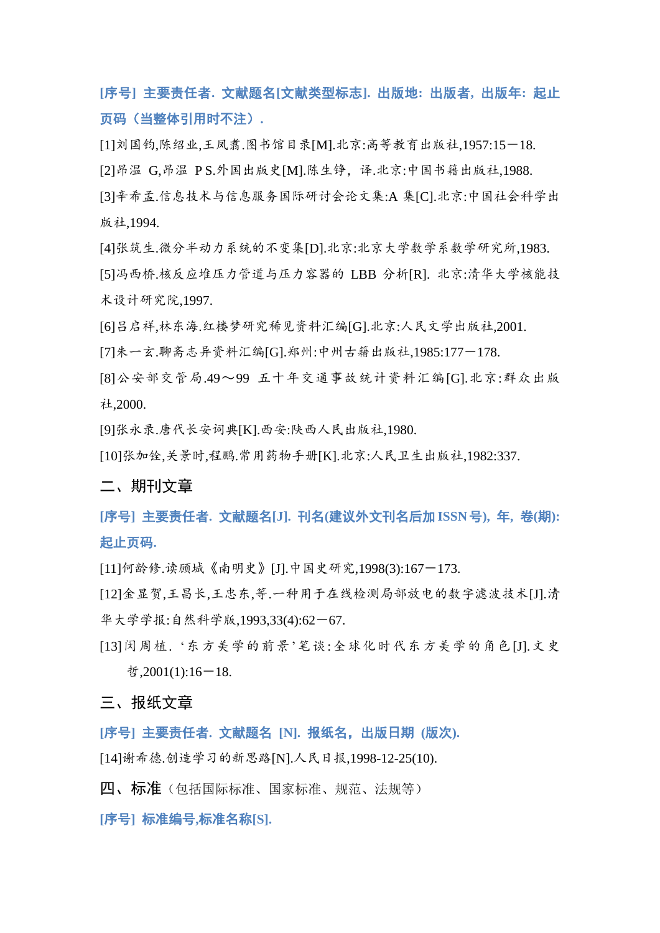**[**序号**]** 主要责任者**.** 文献题名**[**文献类型标志**].** 出版地**:** 出版者**,** 出版年**:** 起止 页码(当整体引用时不注)**.**

[1]刘国钧,陈绍业,王凤翥.图书馆目录[M].北京:高等教育出版社,1957:15-18.

[2]昂温 G,昂温 P S.外国出版史[M].陈生铮, 译.北京:中国书籍出版社,1988.

[3]辛希孟.信息技术与信息服务国际研讨会论文集:A 集[C].北京:中国社会科学出 版社,1994.

[4]张筑生.微分半动力系统的不变集[D].北京:北京大学数学系数学研究所,1983.

[5]冯西桥.核反应堆压力管道与压力容器的 LBB 分析[R]. 北京:清华大学核能技 术设计研究院,1997.

[6]吕启祥,林东海.红楼梦研究稀见资料汇编[G].北京:人民文学出版社,2001.

[7]朱一玄.聊斋志异资料汇编[G].郑州:中州古籍出版社,1985:177-178.

[8]公安部交管局.49~99 五十年交通事故统计资料汇编[G].北京:群众出版 社,2000.

[9]张永录.唐代长安词典[K].西安:陕西人民出版社,1980.

[10]张加铨,关景时,程鹏.常用药物手册[K].北京:人民卫生出版社,1982:337.

#### 二、期刊文章

**[**序号**]** 主要责任者**.** 文献题名**[J].** 刊名**(**建议外文刊名后加**ISSN**号**),** 年**,** 卷**(**期**):** 起止页码**.**

[11]何龄修.读顾城《南明史》[J].中国史研究,1998(3):167-173.

[12]金显贺,王昌长,王忠东,等.一种用于在线检测局部放电的数字滤波技术[J].清 华大学学报:自然科学版,1993,33(4):62-67.

[13]闵周植. '东方美学的前景'笔谈:全球化时代东方美学的角色[J].文史  $\text{\#}$ ,2001(1):16-18.

#### 三、报纸文章

**[**序号**]** 主要责任者**.** 文献题名 **[N].** 报纸名,出版日期 **(**版次**).**

[14]谢希德.创造学习的新思路[N].人民日报,1998-12-25(10).

四、标准(包括国际标准、国家标准、规范、法规等)

**[**序号**]** 标准编号**,**标准名称**[S].**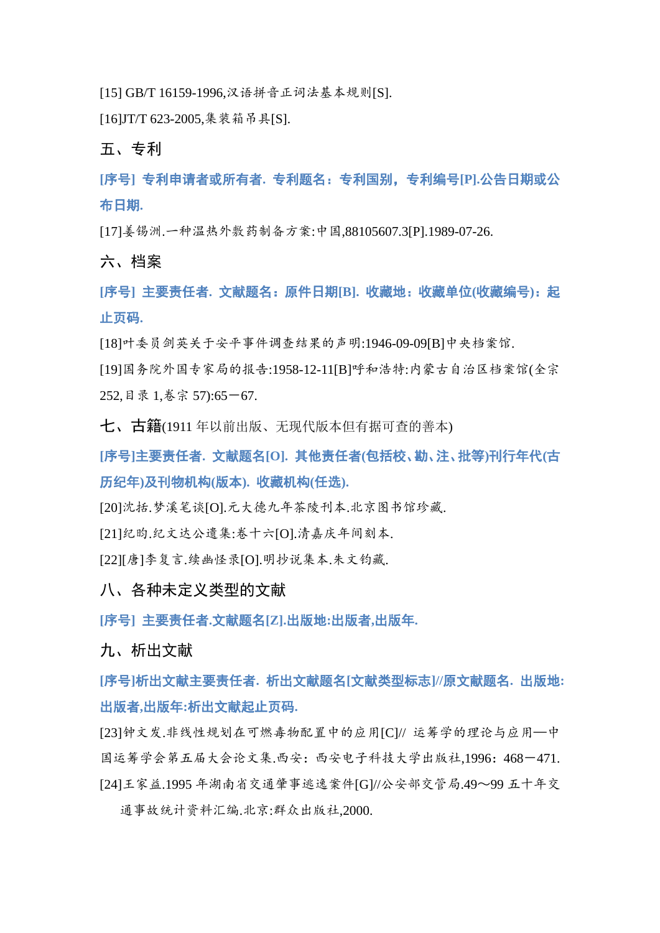[15] GB/T 16159-1996,汉语拼音正词法基本规则[S].

[16]JT/T 623-2005,集装箱吊具[S].

五、专利

**[**序号**]** 专利申请者或所有者**.** 专利题名:专利国别,专利编号**[P].**公告日期或公 布日期**.**

[17]姜锡洲.一种温热外敷药制备方案:中国,88105607.3[P].1989-07-26.

六、档案

**[**序号**]** 主要责任者**.** 文献题名:原件日期**[B].** 收藏地:收藏单位**(**收藏编号**)**:起 止页码**.**

[18]叶委员剑英关于安平事件调查结果的声明:1946-09-09[B]中央档案馆.

[19]国务院外国专家局的报告:1958-12-11[B]呼和浩特:内蒙古自治区档案馆(全宗 252,目录 1,卷宗 57):65-67.

七、古籍(1911 年以前出版、无现代版本但有据可查的善本)

**[**序号**]**主要责任者**.** 文献题名**[O].** 其他责任者**(**包括校、勘、注、批等**)**刊行年代**(**古 历纪年**)**及刊物机构**(**版本**).** 收藏机构**(**任选**).**

[20]沈括.梦溪笔谈[O].元大德九年茶陵刊本.北京图书馆珍藏.

[21]纪昀.纪文达公遗集:卷十六[O].清嘉庆年间刻本.

[22][唐]李复言.续幽怪录[O].明抄说集本.朱文钧藏.

八、各种未定义类型的文献

**[**序号**]** 主要责任者**.**文献题名**[Z].**出版地**:**出版者**,**出版年**.**

九、析出文献

**[**序号**]**析出文献主要责任者**.** 析出文献题名**[**文献类型标志**]//**原文献题名**.** 出版地**:** 出版者**,**出版年**:**析出文献起止页码**.**

[23]钟文发.非线性规划在可燃毒物配置中的应用[C]// 运筹学的理论与应用—中 国运筹学会第五届大会论文集.西安:西安电子科技大学出版社,1996:468-471. [24]王家益.1995 年湖南省交通肇事逃逸案件[G]//公安部交管局.49~99 五十年交 通事故统计资料汇编.北京:群众出版社,2000.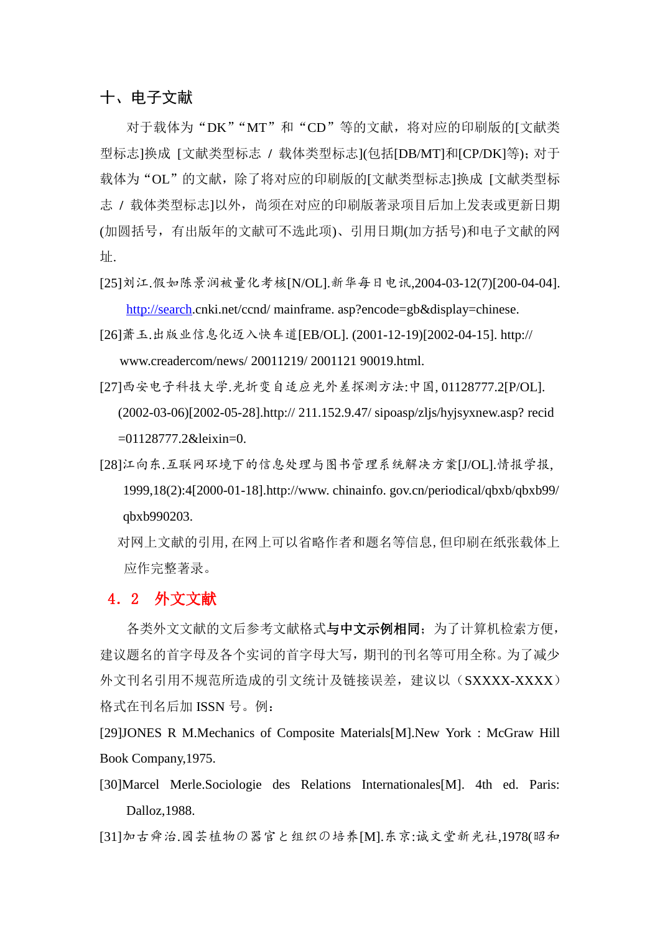### 十、电子文献

对于载体为"DK""MT"和"CD"等的文献,将对应的印刷版的[文献类 型标志]换成 [文献类型标志 **/** 载体类型标志](包括[DB/MT]和[CP/DK]等);对于 载体为"OL"的文献,除了将对应的印刷版的[文献类型标志]换成 [文献类型标 志 **/** 载体类型标志]以外,尚须在对应的印刷版著录项目后加上发表或更新日期 (加圆括号,有出版年的文献可不选此项)、引用日期(加方括号)和电子文献的网 址.

[25]刘江.假如陈景润被量化考核[N/OL].新华每日电讯,2004-03-12(7)[200-04-04].

[http://search.](http://search/)cnki.net/ccnd/ mainframe. asp?encode=gb&display=chinese.

- [26]萧玉.出版业信息化迈入快车道[EB/OL]. (2001-12-19)[2002-04-15]. http:// www.creadercom/news/ 20011219/ 2001121 90019.html.
- [27]西安电子科技大学.光折变自适应光外差探测方法:中国, 01128777.2[P/OL]. (2002-03-06)[2002-05-28].http:// 211.152.9.47/ sipoasp/zljs/hyjsyxnew.asp? recid =01128777.2&leixin=0.
- [28]江向东.互联网环境下的信息处理与图书管理系统解决方案[J/OL].情报学报, 1999,18(2):4[2000-01-18].http://www. chinainfo. gov.cn/periodical/qbxb/qbxb99/ qbxb990203.
	- 对网上文献的引用,在网上可以省略作者和题名等信息,但印刷在纸张载体上 应作完整著录。

#### 4.2 外文文献

各类外文文献的文后参考文献格式与中文示例相同;为了计算机检索方便, 建议题名的首字母及各个实词的首字母大写,期刊的刊名等可用全称。为了减少 外文刊名引用不规范所造成的引文统计及链接误差,建议以(SXXXX-XXXX) 格式在刊名后加 ISSN 号。例:

[29]JONES R M.Mechanics of Composite Materials[M].New York : McGraw Hill Book Company,1975.

[30]Marcel Merle.Sociologie des Relations Internationales[M]. 4th ed. Paris: Dalloz,1988.

[31]加古舜治.园芸植物の器官と组织の培养[M].东京:诚文堂新光社,1978(昭和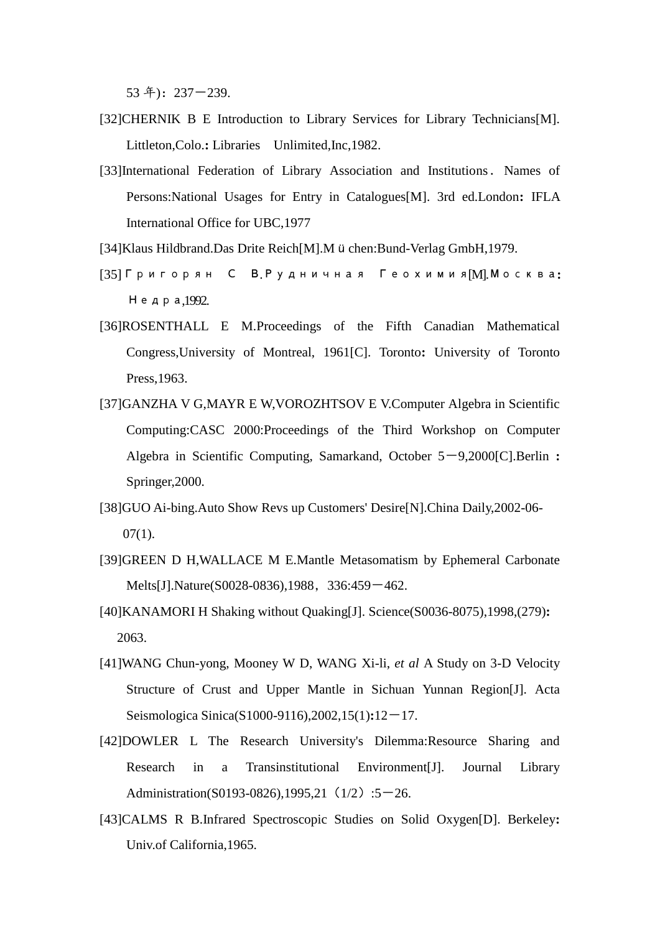53 年):237-239.

- [32]CHERNIK B E Introduction to Library Services for Library Technicians[M]. Littleton,Colo.**:** Libraries Unlimited,Inc,1982.
- [33]International Federation of Library Association and Institutions. Names of Persons:National Usages for Entry in Catalogues[M]. 3rd ed.London**:** IFLA International Office for UBC,1977
- [34]Klaus Hildbrand.Das Drite Reich[M].Müchen:Bund-Verlag GmbH,1979.
- [35]Григорян С В.Рудничная Геохимия[M].Москва**:**  Недра,1992.
- [36]ROSENTHALL E M.Proceedings of the Fifth Canadian Mathematical Congress,University of Montreal, 1961[C]. Toronto**:** University of Toronto Press,1963.
- [37]GANZHA V G,MAYR E W,VOROZHTSOV E V.Computer Algebra in Scientific Computing:CASC 2000:Proceedings of the Third Workshop on Computer Algebra in Scientific Computing, Samarkand, October 5-9,2000[C].Berlin : Springer,2000.
- [38]GUO Ai-bing.Auto Show Revs up Customers' Desire[N].China Daily,2002-06-  $07(1)$ .
- [39]GREEN D H,WALLACE M E.Mantle Metasomatism by Ephemeral Carbonate Melts[J].Nature(S0028-0836),1988, 336:459-462.
- [40]KANAMORI H Shaking without Quaking[J]. Science(S0036-8075),1998,(279)**:** 2063.
- [41]WANG Chun-yong, Mooney W D, WANG Xi-li, *et al* A Study on 3-D Velocity Structure of Crust and Upper Mantle in Sichuan Yunnan Region[J]. Acta Seismologica Sinica(S1000-9116),2002,15(1)**:**12-17.
- [42]DOWLER L The Research University's Dilemma:Resource Sharing and Research in a Transinstitutional Environment[J]. Journal Library Administration(S0193-0826),1995,21 (1/2):5-26.
- [43]CALMS R B.Infrared Spectroscopic Studies on Solid Oxygen[D]. Berkeley**:** Univ.of California,1965.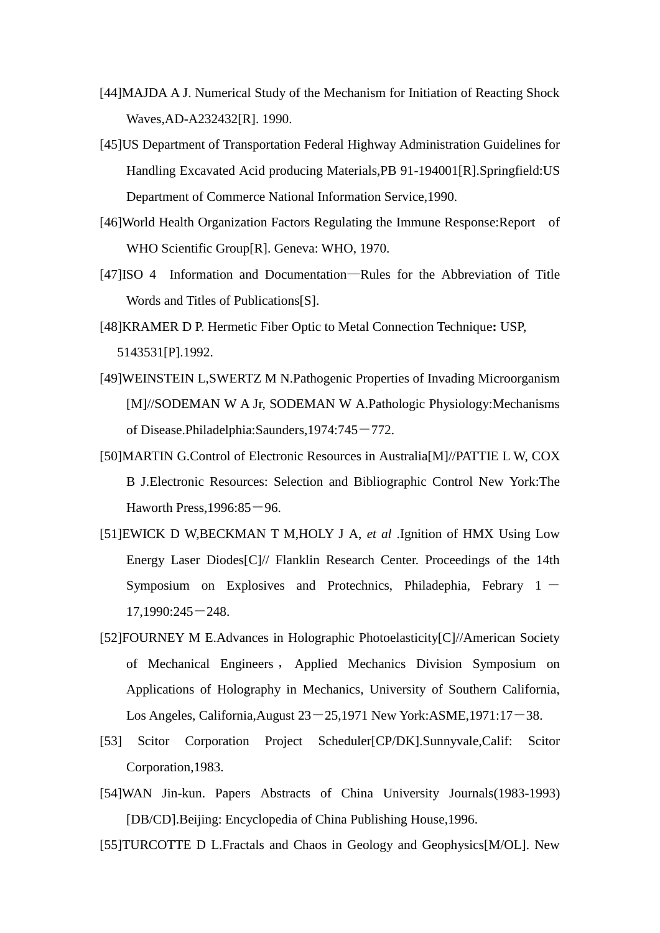- [44]MAJDA A J. Numerical Study of the Mechanism for Initiation of Reacting Shock Waves,AD-A232432[R]. 1990.
- [45]US Department of Transportation Federal Highway Administration Guidelines for Handling Excavated Acid producing Materials,PB 91-194001[R].Springfield:US Department of Commerce National Information Service,1990.
- [46]World Health Organization Factors Regulating the Immune Response:Report of WHO Scientific Group[R]. Geneva: WHO, 1970.
- [47]ISO 4 Information and Documentation—Rules for the Abbreviation of Title Words and Titles of Publications[S].
- [48]KRAMER D P. Hermetic Fiber Optic to Metal Connection Technique**:** USP, 5143531[P].1992.
- [49]WEINSTEIN L,SWERTZ M N.Pathogenic Properties of Invading Microorganism [M]//SODEMAN W A Jr, SODEMAN W A.Pathologic Physiology:Mechanisms of Disease.Philadelphia:Saunders,1974:745-772.
- [50]MARTIN G.Control of Electronic Resources in Australia[M]//PATTIE L W, COX B J.Electronic Resources: Selection and Bibliographic Control New York:The Haworth Press,  $1996:85-96$ .
- [51]EWICK D W,BECKMAN T M,HOLY J A, *et al* .Ignition of HMX Using Low Energy Laser Diodes[C]// Flanklin Research Center. Proceedings of the 14th Symposium on Explosives and Protechnics, Philadephia, Febrary  $1 17,1990:245-248.$
- [52]FOURNEY M E.Advances in Holographic Photoelasticity[C]//American Society of Mechanical Engineers , Applied Mechanics Division Symposium on Applications of Holography in Mechanics, University of Southern California, Los Angeles, California, August  $23-25,1971$  New York: ASME,  $1971:17-38$ .
- [53] Scitor Corporation Project Scheduler[CP/DK].Sunnyvale,Calif: Scitor Corporation,1983.
- [54]WAN Jin-kun. Papers Abstracts of China University Journals(1983-1993) [DB/CD].Beijing: Encyclopedia of China Publishing House,1996.
- [55]TURCOTTE D L.Fractals and Chaos in Geology and Geophysics[M/OL]. New